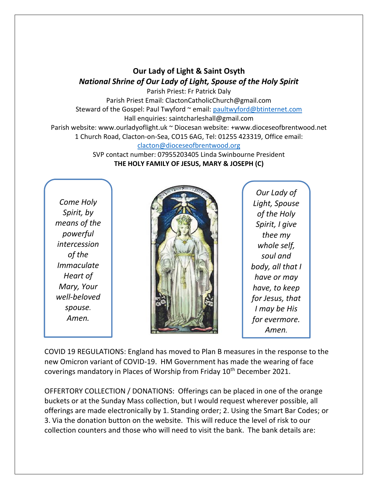## **Our Lady of Light & Saint Osyth** *National Shrine of Our Lady of Light, Spouse of the Holy Spirit*

Parish Priest: Fr Patrick Daly Parish Priest Email: ClactonCatholicChurch@gmail.com Steward of the Gospel: Paul Twyford ~ email: [paultwyford@btinternet.com](mailto:paultwyford@btinternet.com) Hall enquiries: saintcharleshall@gmail.com Parish website: www.ourladyoflight.uk ~ Diocesan website: +www.dioceseofbrentwood.net 1 Church Road, Clacton-on-Sea, CO15 6AG, Tel: 01255 423319, Office email: [clacton@dioceseofbrentwood.org](mailto:clacton@dioceseofbrentwood.org)

SVP contact number: 07955203405 Linda Swinbourne President **THE HOLY FAMILY OF JESUS, MARY & JOSEPH (C)**

*Come Holy Spirit, by means of the powerful intercession of the Immaculate Heart of Mary, Your well-beloved spouse. Amen.*



*Our Lady of Light, Spouse of the Holy Spirit, I give thee my whole self, soul and body, all that I have or may have, to keep for Jesus, that I may be His for evermore. Amen.*

COVID 19 REGULATIONS: England has moved to Plan B measures in the response to the new Omicron variant of COVID-19. HM Government has made the wearing of face coverings mandatory in Places of Worship from Friday 10<sup>th</sup> December 2021.

OFFERTORY COLLECTION / DONATIONS: Offerings can be placed in one of the orange buckets or at the Sunday Mass collection, but I would request wherever possible, all offerings are made electronically by 1. Standing order; 2. Using the Smart Bar Codes; or 3. Via the donation button on the website. This will reduce the level of risk to our collection counters and those who will need to visit the bank. The bank details are: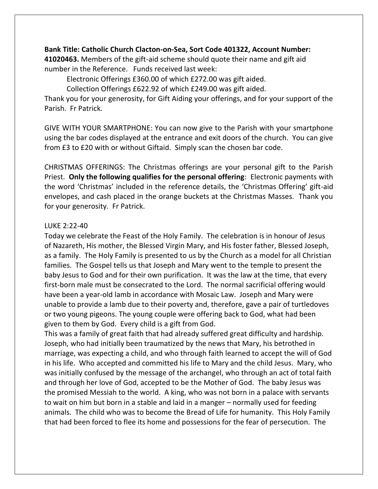## **Bank Title: Catholic Church Clacton-on-Sea, Sort Code 401322, Account Number:**

**41020463.** Members of the gift-aid scheme should quote their name and gift aid number in the Reference. Funds received last week:

Electronic Offerings £360.00 of which £272.00 was gift aided.

Collection Offerings £622.92 of which £249.00 was gift aided.

Thank you for your generosity, for Gift Aiding your offerings, and for your support of the Parish. Fr Patrick.

GIVE WITH YOUR SMARTPHONE: You can now give to the Parish with your smartphone using the bar codes displayed at the entrance and exit doors of the church. You can give from £3 to £20 with or without Giftaid. Simply scan the chosen bar code.

CHRISTMAS OFFERINGS: The Christmas offerings are your personal gift to the Parish Priest. **Only the following qualifies for the personal offering**: Electronic payments with the word 'Christmas' included in the reference details, the 'Christmas Offering' gift-aid envelopes, and cash placed in the orange buckets at the Christmas Masses. Thank you for your generosity. Fr Patrick.

## LUKE 2:22-40

Today we celebrate the Feast of the Holy Family. The celebration is in honour of Jesus of Nazareth, His mother, the Blessed Virgin Mary, and His foster father, Blessed Joseph, as a family. The Holy Family is presented to us by the Church as a model for all Christian families. The Gospel tells us that Joseph and Mary went to the temple to present the baby Jesus to God and for their own purification. It was the law at the time, that every first-born male must be consecrated to the Lord. The normal sacrificial offering would have been a year-old lamb in accordance with Mosaic Law. Joseph and Mary were unable to provide a lamb due to their poverty and, therefore, gave a pair of turtledoves or two young pigeons. The young couple were offering back to God, what had been given to them by God. Every child is a gift from God.

This was a family of great faith that had already suffered great difficulty and hardship. Joseph, who had initially been traumatized by the news that Mary, his betrothed in marriage, was expecting a child, and who through faith learned to accept the will of God in his life. Who accepted and committed his life to Mary and the child Jesus. Mary, who was initially confused by the message of the archangel, who through an act of total faith and through her love of God, accepted to be the Mother of God. The baby Jesus was the promised Messiah to the world. A king, who was not born in a palace with servants to wait on him but born in a stable and laid in a manger – normally used for feeding animals. The child who was to become the Bread of Life for humanity. This Holy Family that had been forced to flee its home and possessions for the fear of persecution. The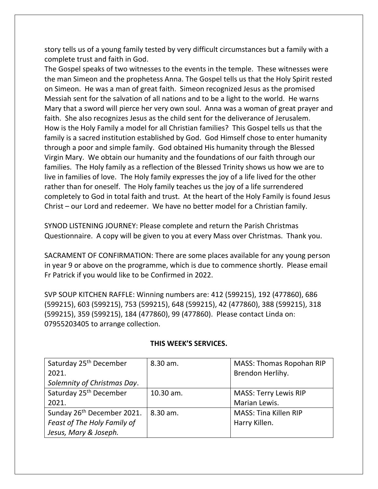story tells us of a young family tested by very difficult circumstances but a family with a complete trust and faith in God.

The Gospel speaks of two witnesses to the events in the temple. These witnesses were the man Simeon and the prophetess Anna. The Gospel tells us that the Holy Spirit rested on Simeon. He was a man of great faith. Simeon recognized Jesus as the promised Messiah sent for the salvation of all nations and to be a light to the world. He warns Mary that a sword will pierce her very own soul. Anna was a woman of great prayer and faith. She also recognizes Jesus as the child sent for the deliverance of Jerusalem. How is the Holy Family a model for all Christian families? This Gospel tells us that the family is a sacred institution established by God. God Himself chose to enter humanity through a poor and simple family. God obtained His humanity through the Blessed Virgin Mary. We obtain our humanity and the foundations of our faith through our families. The Holy family as a reflection of the Blessed Trinity shows us how we are to live in families of love. The Holy family expresses the joy of a life lived for the other rather than for oneself. The Holy family teaches us the joy of a life surrendered completely to God in total faith and trust. At the heart of the Holy Family is found Jesus Christ – our Lord and redeemer. We have no better model for a Christian family.

SYNOD LISTENING JOURNEY: Please complete and return the Parish Christmas Questionnaire. A copy will be given to you at every Mass over Christmas. Thank you.

SACRAMENT OF CONFIRMATION: There are some places available for any young person in year 9 or above on the programme, which is due to commence shortly. Please email Fr Patrick if you would like to be Confirmed in 2022.

SVP SOUP KITCHEN RAFFLE: Winning numbers are: 412 (599215), 192 (477860), 686 (599215), 603 (599215), 753 (599215), 648 (599215), 42 (477860), 388 (599215), 318 (599215), 359 (599215), 184 (477860), 99 (477860). Please contact Linda on: 07955203405 to arrange collection.

| Saturday 25 <sup>th</sup> December     | 8.30 am.  | <b>MASS: Thomas Ropohan RIP</b> |
|----------------------------------------|-----------|---------------------------------|
| 2021.                                  |           | Brendon Herlihy.                |
| Solemnity of Christmas Day.            |           |                                 |
| Saturday 25 <sup>th</sup> December     | 10.30 am. | <b>MASS: Terry Lewis RIP</b>    |
| 2021.                                  |           | Marian Lewis.                   |
| Sunday 26 <sup>th</sup> December 2021. | 8.30 am.  | MASS: Tina Killen RIP           |
| Feast of The Holy Family of            |           | Harry Killen.                   |
| Jesus, Mary & Joseph.                  |           |                                 |

## **THIS WEEK'S SERVICES.**